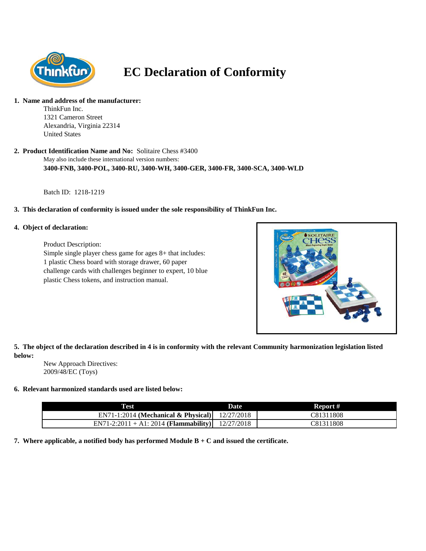

# **EC Declaration of Conformity**

#### **1. Name and address of the manufacturer:**

ThinkFun Inc. 1321 Cameron Street Alexandria, Virginia 22314 United States

May also include these international version numbers: **2. Product Identification Name and No:** Solitaire Chess #3400 **3400-FNB, 3400-POL, 3400-RU, 3400-WH, 3400-GER, 3400-FR, 3400-SCA, 3400-WLD**

Batch ID: 1218-1219

## **3. This declaration of conformity is issued under the sole responsibility of ThinkFun Inc.**

## **4. Object of declaration:**

Product Description:

Simple single player chess game for ages 8+ that includes: 1 plastic Chess board with storage drawer, 60 paper challenge cards with challenges beginner to expert, 10 blue plastic Chess tokens, and instruction manual.



**5. The object of the declaration described in 4 is in conformity with the relevant Community harmonization legislation listed below:**

New Approach Directives: 2009/48/EC (Toys)

## **6. Relevant harmonized standards used are listed below:**

| Test                                             | Date | Report #  |
|--------------------------------------------------|------|-----------|
| EN71-1:2014 (Mechanical & Physical) $12/27/2018$ |      | C81311808 |
| EN71-2:2011 + A1: 2014 (Flammability) 12/27/2018 |      | C81311808 |

**7. Where applicable, a notified body has performed Module B + C and issued the certificate.**